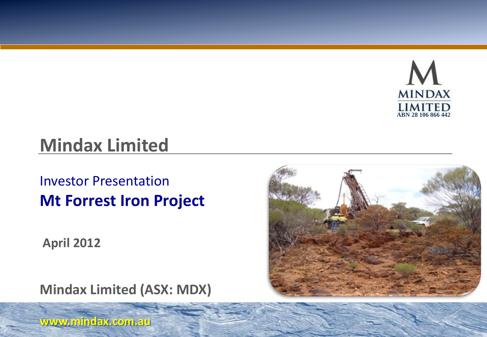

# **Mindax Limited**

## Investor Presentation **Mt Forrest Iron Project**

**April 2012**

**Mindax Limited (ASX: MDX)**



**www.mindax.com.au**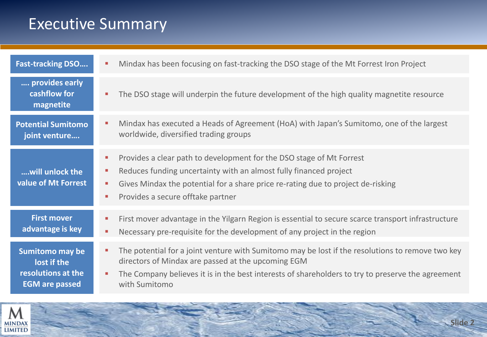## Executive Summary

| <b>Fast-tracking DSO</b>                                                      | Mindax has been focusing on fast-tracking the DSO stage of the Mt Forrest Iron Project<br>п                                                                                                                                                                                                                                                         |
|-------------------------------------------------------------------------------|-----------------------------------------------------------------------------------------------------------------------------------------------------------------------------------------------------------------------------------------------------------------------------------------------------------------------------------------------------|
| provides early<br>cashflow for<br>magnetite                                   | The DSO stage will underpin the future development of the high quality magnetite resource<br>$\mathcal{L}_{\mathcal{A}}$                                                                                                                                                                                                                            |
| <b>Potential Sumitomo</b><br>joint venture                                    | Mindax has executed a Heads of Agreement (HoA) with Japan's Sumitomo, one of the largest<br>a.<br>worldwide, diversified trading groups                                                                                                                                                                                                             |
| will unlock the<br>value of Mt Forrest                                        | Provides a clear path to development for the DSO stage of Mt Forrest<br>п<br>Reduces funding uncertainty with an almost fully financed project<br><b>COL</b><br>Gives Mindax the potential for a share price re-rating due to project de-risking<br>$\mathcal{L}_{\mathcal{A}}$<br>Provides a secure offtake partner<br>$\mathcal{L}_{\mathcal{A}}$ |
| <b>First mover</b><br>advantage is key                                        | First mover advantage in the Yilgarn Region is essential to secure scarce transport infrastructure<br>٠<br>Necessary pre-requisite for the development of any project in the region<br>$\mathcal{L}_{\mathcal{A}}$                                                                                                                                  |
| Sumitomo may be<br>lost if the<br>resolutions at the<br><b>EGM</b> are passed | The potential for a joint venture with Sumitomo may be lost if the resolutions to remove two key<br>٠<br>directors of Mindax are passed at the upcoming EGM<br>The Company believes it is in the best interests of shareholders to try to preserve the agreement<br>$\mathbf{r}$<br>with Sumitomo                                                   |

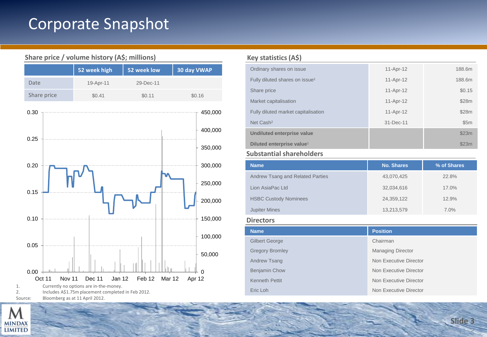## Corporate Snapshot



#### **Share price / volume history (A\$; millions)**

Source: Bloomberg as at 11 April 2012.

#### **Key statistics (A\$)**

| Ordinary shares on issue                   | 11-Apr-12   | 188.6m |
|--------------------------------------------|-------------|--------|
| Fully diluted shares on issue <sup>1</sup> | 11-Apr-12   | 188.6m |
| Share price                                | $11-Apr-12$ | \$0.15 |
| Market capitalisation                      | 11-Apr-12   | \$28m  |
| Fully diluted market capitalisation        | 11-Apr-12   | \$28m  |
| Net Cash <sup>2</sup>                      | 31-Dec-11   | \$5m   |
| Undiluted enterprise value                 |             | \$23m  |
| Diluted enterprise value <sup>1</sup>      |             | \$23m  |

#### **Substantial shareholders**

| <b>Name</b>                      | <b>No. Shares</b> | % of Shares |
|----------------------------------|-------------------|-------------|
| Andrew Tsang and Related Parties | 43,070,425        | 22.8%       |
| Lion AsiaPac Ltd                 | 32,034,616        | 17.0%       |
| <b>HSBC Custody Nominees</b>     | 24,359,122        | 12.9%       |
| <b>Jupiter Mines</b>             | 13,213,579        | 7.0%        |

#### **Directors**

| <b>Name</b>            | <b>Position</b>          |
|------------------------|--------------------------|
| Gilbert George         | Chairman                 |
| <b>Gregory Bromley</b> | <b>Managing Director</b> |
| Andrew Tsang           | Non Executive Director   |
| <b>Benjamin Chow</b>   | Non Executive Director   |
| <b>Kenneth Pettit</b>  | Non Executive Director   |
| Eric Loh               | Non Executive Director   |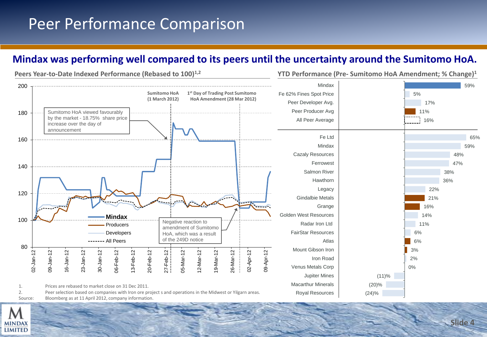## Peer Performance Comparison

### **Mindax was performing well compared to its peers until the uncertainty around the Sumitomo HoA.**



**Slide 4**

MINDAX **LIMITED**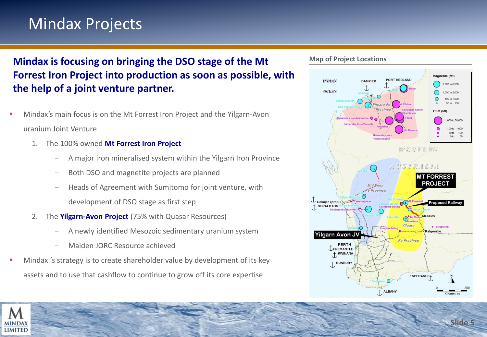## Mindax Projects

### **Mindax is focusing on bringing the DSO stage of the Mt Forrest Iron Project into production as soon as possible, with the help of a joint venture partner.**

- Mindax's main focus is on the Mt Forrest Iron Project and the Yilgarn-Avon uranium Joint Venture
	- 1. The 100% owned **Mt Forrest Iron Project**
		- − A major iron mineralised system within the Yilgarn Iron Province
		- Both DSO and magnetite projects are planned
		- Heads of Agreement with Sumitomo for joint venture, with development of DSO stage as first step
	- 2. The **Yilgarn-Avon Project** (75% with Quasar Resources)
		- − A newly identified Mesozoic sedimentary uranium system
		- − Maiden JORC Resource achieved
- Mindax 's strategy is to create shareholder value by development of its key assets and to use that cashflow to continue to grow off its core expertise





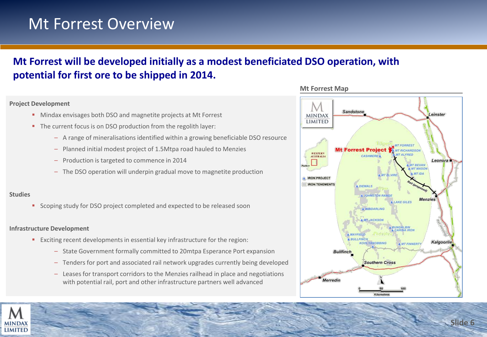### Mt Forrest Overview

### **Mt Forrest will be developed initially as a modest beneficiated DSO operation, with potential for first ore to be shipped in 2014.**

#### **Project Development**

- **Mindax envisages both DSO and magnetite projects at Mt Forrest**
- The current focus is on DSO production from the regolith layer:
	- A range of mineralisations identified within a growing beneficiable DSO resource
	- Planned initial modest project of 1.5Mtpa road hauled to Menzies
	- Production is targeted to commence in 2014
	- The DSO operation will underpin gradual move to magnetite production

#### **Studies**

**Scoping study for DSO project completed and expected to be released soon** 

#### **Infrastructure Development**

- Exciting recent developments in essential key infrastructure for the region:
	- State Government formally committed to 20mtpa Esperance Port expansion
	- Tenders for port and associated rail network upgrades currently being developed
	- Leases for transport corridors to the Menzies railhead in place and negotiations with potential rail, port and other infrastructure partners well advanced

#### Sandstone Leinster **MINDAX** LIMITED **MT FORREST Mt Forrest Project MT RICHARDSON WESTERN** CASHMERE **AUSTRALIA** Leonora **MT BEVAN IRON PROJECT IRON TENEMENTS** A DIEMALS **NUOHNSTON RANGE Menzies LAKE GILES** A WINDARLING **MT JACKSON MAYFIELD BULLFINCH** Kalgoorlie KOOLYANOBBING **AMT FINNERTY Bullfinch Southern Cross** Merredin **Kilometres**

**Mt Forrest Map**

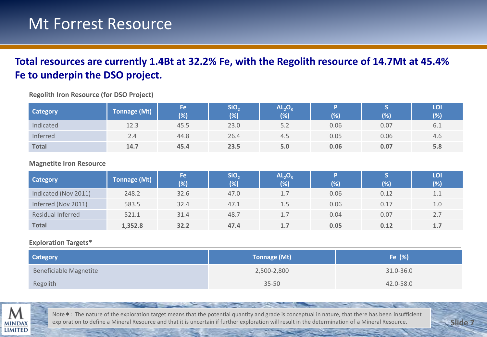### Mt Forrest Resource

### **Total resources are currently 1.4Bt at 32.2% Fe, with the Regolith resource of 14.7Mt at 45.4% Fe to underpin the DSO project.**

| <b>Category</b> | <b>Tonnage (Mt)</b> | Fe<br>(% | SiO,<br>(% | AL <sub>2</sub> O <sub>3</sub><br>(% ) | (% ) | (%   | LOI<br>(% ) |
|-----------------|---------------------|----------|------------|----------------------------------------|------|------|-------------|
| Indicated       | 12.3                | 45.5     | 23.0       | 5.2                                    | 0.06 | 0.07 | 6.1         |
| Inferred        | 2.4                 | 44.8     | 26.4       | 4.5                                    | 0.05 | 0.06 | 4.6         |
| <b>Total</b>    | 14.7                | 45.4     | 23.5       | 5.0                                    | 0.06 | 0.07 | 5.8         |

**Regolith Iron Resource (for DSO Project)** 

#### **Magnetite Iron Resource**

| <b>Category</b>      | <b>Tonnage (Mt)</b> | Fe.<br>(% ) | SiO <sub>2</sub><br>$(\%)$ | AL <sub>2</sub> O <sub>3</sub><br>(%) | $(\%)$ | (%)  | LOI.<br>(%) |
|----------------------|---------------------|-------------|----------------------------|---------------------------------------|--------|------|-------------|
| Indicated (Nov 2011) | 248.2               | 32.6        | 47.0                       | 1.7                                   | 0.06   | 0.12 | 1.1         |
| Inferred (Nov 2011)  | 583.5               | 32.4        | 47.1                       | 1.5                                   | 0.06   | 0.17 | 1.0         |
| Residual Inferred    | 521.1               | 31.4        | 48.7                       | 1.7                                   | 0.04   | 0.07 | 2.7         |
| <b>Total</b>         | 1,352.8             | 32.2        | 47.4                       | 1.7                                   | 0.05   | 0.12 | 1.7         |

#### **Exploration Targets\***

| <b>Category</b>        | <b>Tonnage (Mt)</b> | Fe (%)    |
|------------------------|---------------------|-----------|
| Beneficiable Magnetite | 2,500-2,800         | 31.0-36.0 |
| Regolith               | $35 - 50$           | 42.0-58.0 |



Note\*: The nature of the exploration target means that the potential quantity and grade is conceptual in nature, that there has been insufficient exploration to define a Mineral Resource and that it is uncertain if further exploration will result in the determination of a Mineral Resource.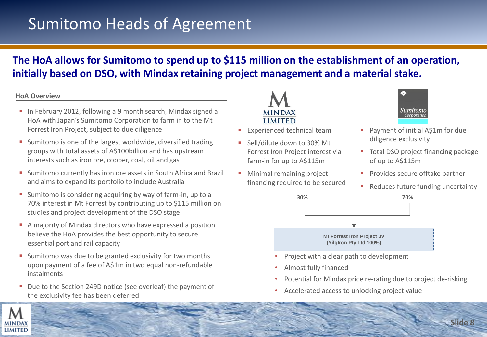## Sumitomo Heads of Agreement

### **The HoA allows for Sumitomo to spend up to \$115 million on the establishment of an operation, initially based on DSO, with Mindax retaining project management and a material stake.**

#### **HoA Overview**

- In February 2012, following a 9 month search, Mindax signed a HoA with Japan's Sumitomo Corporation to farm in to the Mt Forrest Iron Project, subject to due diligence
- **Sumitomo is one of the largest worldwide, diversified trading** groups with total assets of A\$100billion and has upstream interests such as iron ore, copper, coal, oil and gas
- **Sumitomo currently has iron ore assets in South Africa and Brazil** and aims to expand its portfolio to include Australia
- **Sumitomo is considering acquiring by way of farm-in, up to a** 70% interest in Mt Forrest by contributing up to \$115 million on studies and project development of the DSO stage
- A majority of Mindax directors who have expressed a position believe the HoA provides the best opportunity to secure essential port and rail capacity
- **Sumitomo was due to be granted exclusivity for two months** upon payment of a fee of A\$1m in two equal non-refundable instalments
- Due to the Section 249D notice (see overleaf) the payment of the exclusivity fee has been deferred



- Experienced technical team
- Sell/dilute down to 30% Mt Forrest Iron Project interest via farm-in for up to A\$115m
- **Minimal remaining project** financing required to be secured



- Payment of initial A\$1m for due diligence exclusivity
- Total DSO project financing package of up to A\$115m
- **Provides secure offtake partner**
- Reduces future funding uncertainty



- Project with a clear path to development
- Almost fully financed
- Potential for Mindax price re-rating due to project de-risking
- Accelerated access to unlocking project value

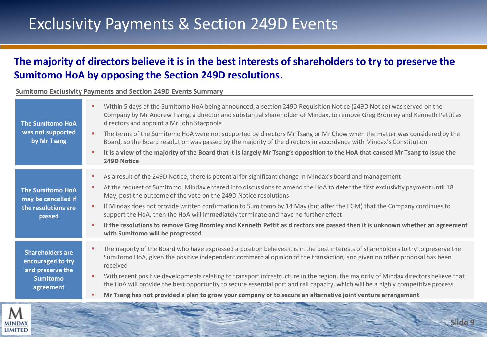## Exclusivity Payments & Section 249D Events

### **The majority of directors believe it is in the best interests of shareholders to try to preserve the Sumitomo HoA by opposing the Section 249D resolutions.**

**Sumitomo Exclusivity Payments and Section 249D Events Summary**

| <b>The Sumitomo HoA</b><br>was not supported<br>by Mr Tsang                                      | Within 5 days of the Sumitomo HoA being announced, a section 249D Requisition Notice (249D Notice) was served on the<br>Company by Mr Andrew Tsang, a director and substantial shareholder of Mindax, to remove Greg Bromley and Kenneth Pettit as<br>directors and appoint a Mr John Stacpoole<br>The terms of the Sumitomo HoA were not supported by directors Mr Tsang or Mr Chow when the matter was considered by the<br>Board, so the Board resolution was passed by the majority of the directors in accordance with Mindax's Constitution<br>It is a view of the majority of the Board that it is largely Mr Tsang's opposition to the HoA that caused Mr Tsang to issue the<br>249D Notice       |
|--------------------------------------------------------------------------------------------------|-----------------------------------------------------------------------------------------------------------------------------------------------------------------------------------------------------------------------------------------------------------------------------------------------------------------------------------------------------------------------------------------------------------------------------------------------------------------------------------------------------------------------------------------------------------------------------------------------------------------------------------------------------------------------------------------------------------|
| <b>The Sumitomo HoA</b><br>may be cancelled if<br>the resolutions are<br>passed                  | As a result of the 249D Notice, there is potential for significant change in Mindax's board and management<br>٠<br>At the request of Sumitomo, Mindax entered into discussions to amend the HoA to defer the first exclusivity payment until 18<br>May, post the outcome of the vote on the 249D Notice resolutions<br>If Mindax does not provide written confirmation to Sumitomo by 14 May (but after the EGM) that the Company continues to<br>support the HoA, then the HoA will immediately terminate and have no further effect<br>If the resolutions to remove Greg Bromley and Kenneth Pettit as directors are passed then it is unknown whether an agreement<br>with Sumitomo will be progressed |
| <b>Shareholders are</b><br>encouraged to try<br>and preserve the<br><b>Sumitomo</b><br>agreement | The majority of the Board who have expressed a position believes it is in the best interests of shareholders to try to preserve the<br>Sumitomo HoA, given the positive independent commercial opinion of the transaction, and given no other proposal has been<br>received<br>With recent positive developments relating to transport infrastructure in the region, the majority of Mindax directors believe that<br>the HoA will provide the best opportunity to secure essential port and rail capacity, which will be a highly competitive process<br>Mr Tsang has not provided a plan to grow your company or to secure an alternative joint venture arrangement                                     |

**Slide 9**

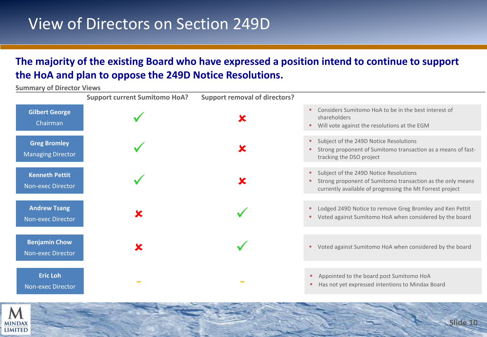## View of Directors on Section 249D

### **The majority of the existing Board who have expressed a position intend to continue to support the HoA and plan to oppose the 249D Notice Resolutions.**

**Summary of Director Views**